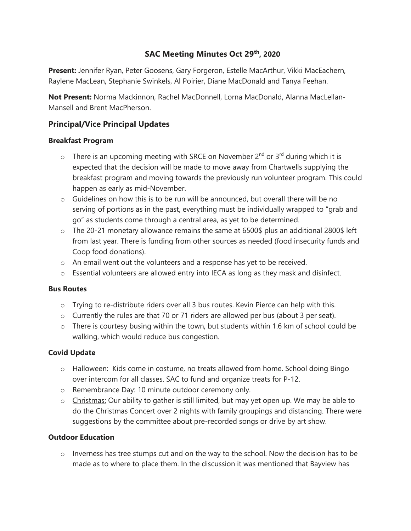# **SAC Meeting Minutes Oct 29th, 2020**

**Present:** Jennifer Ryan, Peter Goosens, Gary Forgeron, Estelle MacArthur, Vikki MacEachern, Raylene MacLean, Stephanie Swinkels, Al Poirier, Diane MacDonald and Tanya Feehan.

**Not Present:** Norma Mackinnon, Rachel MacDonnell, Lorna MacDonald, Alanna MacLellan-Mansell and Brent MacPherson.

# **Principal/Vice Principal Updates**

#### **Breakfast Program**

- $\circ$  There is an upcoming meeting with SRCE on November 2<sup>nd</sup> or 3<sup>rd</sup> during which it is expected that the decision will be made to move away from Chartwells supplying the breakfast program and moving towards the previously run volunteer program. This could happen as early as mid-November.
- o Guidelines on how this is to be run will be announced, but overall there will be no serving of portions as in the past, everything must be individually wrapped to "grab and go" as students come through a central area, as yet to be determined.
- o The 20-21 monetary allowance remains the same at 6500\$ plus an additional 2800\$ left from last year. There is funding from other sources as needed (food insecurity funds and Coop food donations).
- o An email went out the volunteers and a response has yet to be received.
- o Essential volunteers are allowed entry into IECA as long as they mask and disinfect.

#### **Bus Routes**

- $\circ$  Trying to re-distribute riders over all 3 bus routes. Kevin Pierce can help with this.
- o Currently the rules are that 70 or 71 riders are allowed per bus (about 3 per seat).
- o There is courtesy busing within the town, but students within 1.6 km of school could be walking, which would reduce bus congestion.

#### **Covid Update**

- o Halloween: Kids come in costume, no treats allowed from home. School doing Bingo over intercom for all classes. SAC to fund and organize treats for P-12.
- o Remembrance Day: 10 minute outdoor ceremony only.
- o Christmas: Our ability to gather is still limited, but may yet open up. We may be able to do the Christmas Concert over 2 nights with family groupings and distancing. There were suggestions by the committee about pre-recorded songs or drive by art show.

#### **Outdoor Education**

o Inverness has tree stumps cut and on the way to the school. Now the decision has to be made as to where to place them. In the discussion it was mentioned that Bayview has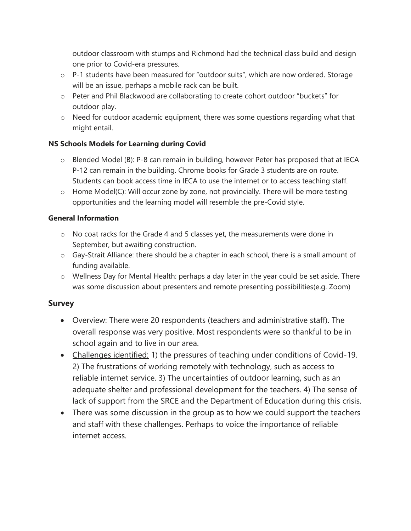outdoor classroom with stumps and Richmond had the technical class build and design one prior to Covid-era pressures.

- o P-1 students have been measured for "outdoor suits", which are now ordered. Storage will be an issue, perhaps a mobile rack can be built.
- o Peter and Phil Blackwood are collaborating to create cohort outdoor "buckets" for outdoor play.
- o Need for outdoor academic equipment, there was some questions regarding what that might entail.

### **NS Schools Models for Learning during Covid**

- $\circ$  Blended Model (B): P-8 can remain in building, however Peter has proposed that at IECA P-12 can remain in the building. Chrome books for Grade 3 students are on route. Students can book access time in IECA to use the internet or to access teaching staff.
- $\circ$  Home Model(C): Will occur zone by zone, not provincially. There will be more testing opportunities and the learning model will resemble the pre-Covid style.

#### **General Information**

- o No coat racks for the Grade 4 and 5 classes yet, the measurements were done in September, but awaiting construction.
- o Gay-Strait Alliance: there should be a chapter in each school, there is a small amount of funding available.
- o Wellness Day for Mental Health: perhaps a day later in the year could be set aside. There was some discussion about presenters and remote presenting possibilities(e.g. Zoom)

### **Survey**

- Overview: There were 20 respondents (teachers and administrative staff). The overall response was very positive. Most respondents were so thankful to be in school again and to live in our area.
- Challenges identified: 1) the pressures of teaching under conditions of Covid-19. 2) The frustrations of working remotely with technology, such as access to reliable internet service. 3) The uncertainties of outdoor learning, such as an adequate shelter and professional development for the teachers. 4) The sense of lack of support from the SRCE and the Department of Education during this crisis.
- There was some discussion in the group as to how we could support the teachers and staff with these challenges. Perhaps to voice the importance of reliable internet access.